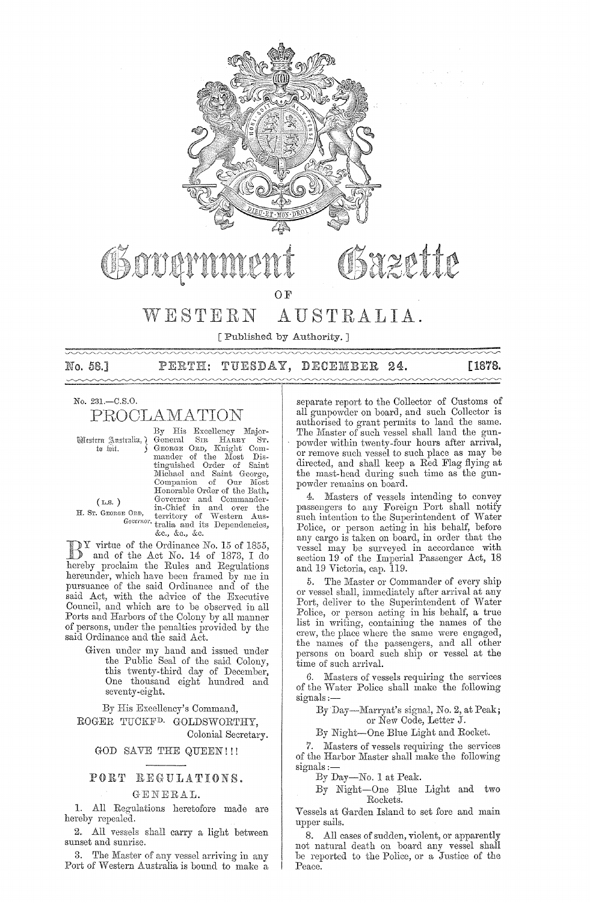

# WESTERN AUSTRALIA.

[Published by Authority. ]

No. 58.]

PERTH: TUESDAY, DECEMBER 24. **[1878.** 

# No. 231.-C.S.0.

PROOLAn1A'l'ION

(L.S. )

By His Excellency Major-Wistern Australia,) General SIR HARRY ST.<br>to wit. 5 GEORGE ORD, Knight Comm"nder of the lYIost Dis-tinguished Order of Saint Michael and Saint George, Companion of Our Most<br>Honorable Order of the Bath, (L.S.) Governor and Commander-<br>
H. Sr. GEORGE ORD, territory of Western Aus-Governor tralia and its Dependencies, **&c., &0., &c.** 

 $\sum_{\text{and of the }A \text{ at }N}$  and of the Asi  $N$ and of the Act No. 14 of 1873, I do hereby proclaim the Rules and Regulations hereunder, which have been framed by me in pursuance of the said Ordinance and of the

said Act, with the advice of the Executive Council, and which are to be observed in all Ports and Harbors of the Colony by all manner of persons, under the penalties provided by the said Ordinance and the said Act.

> Given under my hand and issued under the Public Seal of the said Colony, this twenty-third day of December, One thousand eight hundred and seventy-eight.

By His Excellency's Command, ROGER TUCKF<sup>D.</sup> GOLDSWORTHY.

Colonial Secretary.

#### GOD SAVE THE QUEEN!!!

#### PORT REGULATIONS.

#### GENERAL.

1. All Regulations heretofore made are hereby repealed.

2. All vessels shall carry a light between sunset and sunrise.

3. The Master of any vessel arriving in any Port of Western Australia is bound to make a

separate report to the Collector of Customs of all gunpowder on board, and such Collector is authorised to grant permits to land the same. The Master of such vessel shall land the gunpowder within twenty-four hours after arrival, or remove such vessel to such place as may be directed, and shall keep a Red Flag flying at the mast-head during' such time as the gunpowder remains on board.

4. Masters of vessels intending to convey passengers to any Foreign Port shall notify such intention to the Superintendent of Water Police, or person acting in his behalf, before any cargo is taken on board, in order that the vessel may be surveyed in accordance with section 19 of the Imperial Passenger Act, 18 and 19 Victoria, cap. 119.

5. The Master or Commander of every ship or vessel shall, immediately after arrival at any Port, deliver to the Superintendent of Water Police, or person acting in his behalf, a true list in writing, containing the names of the crew, the place where the same were engaged, the names of the passengers, and all other persons on board such ship or vessel at the time of such arrival.

6. Masters of vessels requiring the services of the Water Police shall make the following signals :-

By Day-Marryat's signal, No. 2, at Peak; or New Code, Letter J.

By Night-One Blue Light and Rocket.

7. Masters of vessels requiring the services of the Harbor Master shall make the following signals :-

By Day-No. 1 at Peak.

By Night-One Blue Light and two Rockets.

Vessels at Garden Island to set fore and main upper sails.

8. All cases of sudden, violent, or apparently not natural death on board any vessel shall be reported to the Police, or a Justice of the Peace.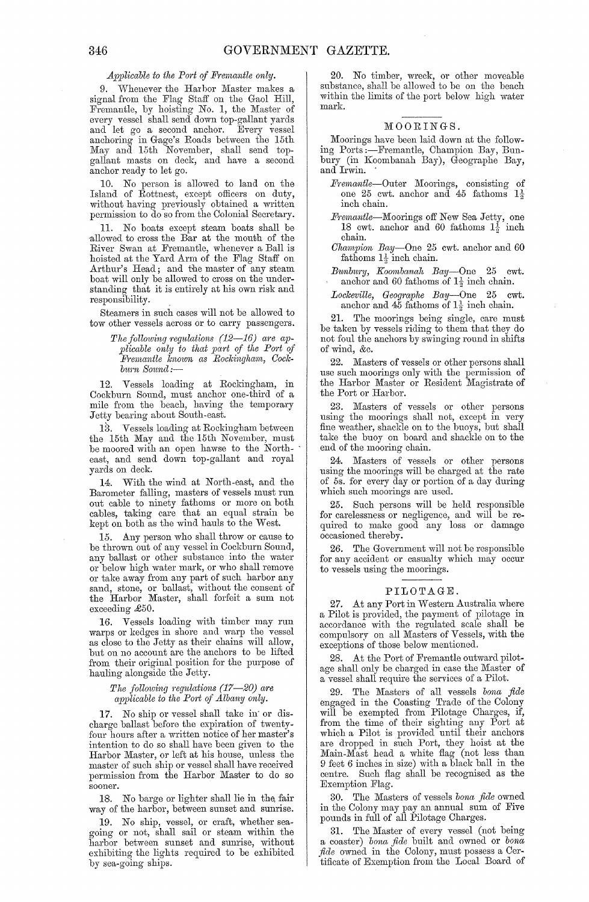#### *Applicable to the Port of Fremantle only.*

9. Whenever the Harbor Master makes a signal from the Flag Staff on the Gaol Hill, Fremantle, by hoisting No. 1, the Master of every vessel shall send down top-gallant yards and let go a second anchor. Every vessel anchoring in Gage's Roads between the 15th May and 15th November, shall send topgallant masts on deck, and have a second anchor ready to let go.

10. No person is allowed to land on the Island of Rottnest, except officers on duty, without having previously obtained a written permission to do so from the Colonial Secretary.

11. No boats except steam boats shall be ·allowed to cross the Bar at the mouth of the River Swan at Fremantle, whenever a Ball is hoisted at the Yard Arm of the Flag Staff on Arthur's Head; and the master of any steam boat will only be allowed to cross on the understanding that it is entirely at his own risk and responsibility.

Steamers in such cases will not be allowed to tow other vessels across or to carry passengers.

> The following regulations (12–16) are ap*plicable only to that part of the Port of Fremantle known as Rockingham, Cockblirn S01md:-*

12. Vessels loading at Rockingham, in Cockburn Sound, must anchor one-third of a mile from the beach, having the temporary Jetty bearing about South-east.

13. Vessels loading at Rockingham between the 15th May and the 15th November, must be moored with an open hawse to the Northeast, and send down top-gallant and royal yards on deck.

14. With the wind at North-east, and the Barometer falling, masters of vessels must run out cable to ninety fathoms or more on both cables, taking care that an equal strain be kept on both as the wind hauls to the West.

15. Any person who shall throw or cause to be thrown out of any vessel in Cockburn Sound, any ballast or other substance into the water or below high water nmrk, or who shall remove or take away from any part of such harbor any sand, stone, or ballast, without the consent of the Harbor Master, shall forfeit a sum not exceeding £50.

16. Vessels loading with timber may run warps or kedges in shore and warp the vessel as close to the Jetty as their chains will allow, but on no account are the anchors to be lifted from their original position for the purpose of hauling alongside the Jetty.

> *The following regulations (17-20) are applicable to the P01't of Albany only.*

1'7 . No ship or vessel shall take in' or discharge ballast before the expiration of twentyfour hours after a written notice of her master's intention to do so shall have been given to the Harbor Master, or left at his house, unless the master of such ship or vessel shall have received permission from the Harbor Master to do so sooner.

18. No barge or lighter shall lie in the, fair way of the harbor, between sunset and sunrise.

19. No ship, vessel, or craft, whether seagoing or not, shall sailor steam within the harbor between sunset and sunrise, without exhibiting the lights required to be exhibited by sea-going ships.

20. No timber, wreck, or other moveable substance, shall be allowed to be on the beach within the limits of the port below high water mark.

#### MOORINGS.

Moorings have been laid down at the following Ports:--Fremantle, Champion Bay, Bunbury (in Koombanah Bay), Geographe Bay, and Irwin.

- *Fremantle-Outer* Moorings, consisting of one 25 cwt. anchor and 45 fathoms  $1\frac{1}{2}$ inch chain.
- Fremantle-Moorings off New Sea Jetty, one 18 cwt. anchor and 60 fathoms  $1\frac{1}{2}$  inch chain.
- *Champion Bay-One* 25 cwt. anchor and 60 fathoms  $1\frac{1}{2}$  inch chain.
- Bunbury, *Koombanah Bay*—One 25 cwt.<br>anchor and 60 fathoms of  $1\frac{1}{2}$  inch chain.

*Lockeville, Geographe Bay*-One 25 cwt. anchor and 45 fathoms of  $1\frac{1}{2}$  inch chain.

21. The moorings being single, care must be taken by vessels riding to them that they do not foul the anchors by swinging round in shifts of wind, &c.

22. Masters of vessels or other persons shall use such moorings only with the permission of the Harbor Master or Resident Magistrate of the Port or Harbor.

23. Masters of vessels or other persons using the moorings shall not, except in very fine weather, shackle on to the buoys, but shall take the buoy on board and shackle on to the end of the mooring chain.

24. Masters of vessels or other persons using the moorings will be charged at the rate of 5s. for every day or portion of a day during which such moorings are used.

Such persons will be held responsible for carelessness or negligence, and will be required to make good any loss or damage occasioned thereby.

26. The Government will not be responsible for any accident or casualty which may occur to vessels using the moorings.

#### PILOTAGE.

27. At any Port in Western Australia where a Pilot is provided, the payment of pilotage in accordance with the regulated scale shall be compulsory on all Masters of Vessels, with the exceptions of those below mentioned.

28. At the Port of Fremantle outward pilotage shall only be charged in case the Master of a vessel shall require the services of a Pilot.

The Masters of all vessels *bona fide* engaged in the Coasting Trade of the Colony will be exempted from Pilotage Charges, if, from the time of their sighting any Port at which a Pilot is provided until their anchors are dropped in such Port, they hoist at the Main-Mast head a white flag (not less than 9 feet 6 inches in size) with a black ball in the centre. Such flag shall be recognised as the Exemption Flag.

30. The Masters of vessels *bona fide* owned in the Colony may pay an annual sum of Five pounds in full of all Pilotage Charges.

31. The Master of every vessel (not being a coaster) *bona fide* built and owned or *bona ficle* owned in the Colony, must possess a Certificate of Exemption from the Local Board of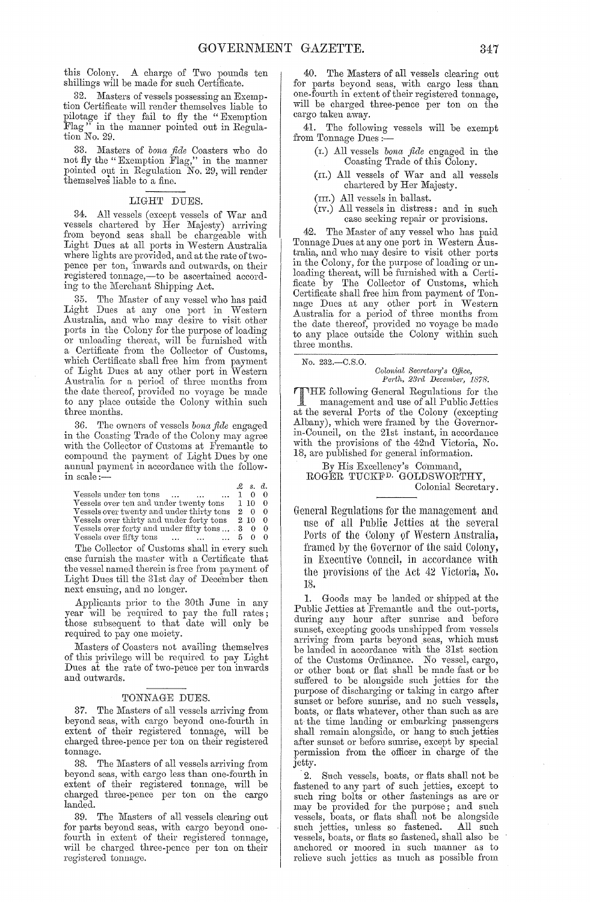this Colony. A charge of Two pounds ten shillings will be made for such Certificate.

Masters of vessels possessing an Exemption Certificate will render themselves liable to pilotage if they fail to fly the "Exemption Flag" in the manner pointed out in Regulation No. 29.

33. n'Iasters of *bona fide* Coasters who do not fly the" Exemption Flag," in the manner pointed out in Regulation No. 29, will render themselves liable to a fine.

#### LIGHT DUES.

34. All vessels (except vessels of War and vessels chartered by Her Majesty) arriving from beyond seas shall be chargeable with Light Dues at all ports in Western Australia where lights are provided, and at the rate of twopence per ton, inwards and outwards, on their registered tonnage,-to be ascertained according to the Merchant Shipping Act.

35. The Master of any vessel who has paid Light Dues at any one port in Western Australia, and who may desire to visit other ports in the Colony for the purpose of loading or unloading thereat, will be furnished with a Certificate from the Collector of Customs, which Certificate shall free him from payment of Light Dues at any other port in Western Australia for a period of three months from the date thereof, provided no voyage be made to any place outside the Colony within such three months.

36. The owners of vessels *bona fide* engaged in the Coasting Trade of the Colony may agree with the Collector of Customs at Fremantle to compound the payment of Light Dues by one annual payment in accordance with the followin scale:-

|                                                                                       |   | $\mathcal{Z}$ s.d. |     |
|---------------------------------------------------------------------------------------|---|--------------------|-----|
| Vessels under ten tons<br>$\ddotsc$                                                   |   | $^{(1)}$           |     |
| Vessels over ten and under twenty tons                                                |   | 110                | - 0 |
| Vessels over twenty and under thirty tons                                             | 2 | $\Omega$           | - 0 |
| Vessels over thirty and under forty tons                                              |   | 2 10               | - 0 |
| Vessels over forty and under fifty tons $\dots$ 3 0                                   |   |                    | - 0 |
| Vessels over fifty tons<br><b>Contract Contract Contract</b><br>$\ddotsc$<br>$\cdots$ |   | 50                 |     |

The Collector of Customs shall in every such case furnish the master with a Certificate that the vessel named therein is free from payment of Light Dues till the 31st day of December then next ensuing, and no longer.

Applicants prior to the 30th June in any year will be required to pay the full rates; those subsequent to that date will only be required to pay one moiety.

Masters of Coasters not availing themselves of this privilege will be required to pay Light Dues at the rate of two-pence per ton inwards and outwards.

#### TONNAGE DUES.

37. The Masters of all vessels arriving from beyond seas, with cargo beyond one-fourth in extent of their registered tonnage, will be charged three-pence per ton on their registered tonnage.

38. The Masters of all vessels arriving from beyond seas, with cargo less than one-fourth in extent of their registered tonnage, will be charged three-pence per ton on the cargo landed.

39. The Masters of all vessels clearing out for parts beyond seas, with cargo beyond onefourth in extent of their registered tonnage, will be charged three-pence per ton on their registered tonnage.

40. The Masters of all vessels clearing out for parts beyond seas, with cargo less than one-fourth in extent of their registered tonnage, will be charged three-pence per ton on the cargo taken away.

41. The following vessels will be exempt from Tonnage Dues :-

- (I.) All vessels *bona fide* engaged in the Coasting Trade of this Colony.
- (n.) All vessels of War and all vessels chartered by Her Majesty.
- (m.) All vessels in ballast.
- $(iv.)$  All vessels in distress: and in such case seeking repair or provisions.

42. The Master of any vessel who has paid Tonnage Dues at anyone port in Western Australia, and who may desire to visit other ports in the Colony, for the purpose of loading or unloading thereat, will be furnished with a Certificate by The Collector of Customs, which Certificate shall free him from payment of Tonnage Dues at any other port in Western Australia for a period of three months from the date thereof, provided no voyage be made to any place outside the Colony within such three months.

No. 232.-C.S.O.

*Colonial Secretary's Office,*<br>Perth, 23rd December, 1878. *Perth, 23rd December, 1878.* 

THE following General Regulations for the<br>management and use of all Public Jetties management and use of all Public Jetties at the several Ports of the Colony (excepting Albany), which were framed by the Governorin-Council, on the 21st instant, in accordance with the provisions of the 42nd Victoria, No. 18, are published for general information.

By His Excellency's Command, ROGER TUCKF<sup>D.</sup> GOLDSWORTHY, Colonial Secretary.

General Regulations for the management and use of all rublic Jetties at the several Ports of the Colony of Western Australia, framed by the Governor of the said Colony, in Executiye Council, in accordance with the provisions of the Act 42 Victoria, No. 18.

1. Goods may be landed or shipped at the Public Jetties at Fremantle and the out-ports, during any hour after sunrise and before sunset, excepting goods unshipped from vessels arriving from parts beyond seas, which must be landed in accordance with the 31st section of the Customs Ordinance. No vessel, cargo, or other boat or flat shall be made fast or be suffered to be alongside such jetties for the purpose of discharging or taking in cargo after sunset or before sunrise, and no such vessels, boats, or flats whatever, other than such as are at the time landing or embarking passengers shall remain alongside, or hang to such jetties after sunset or before sunrise, except by special permission from the officer in charge of the jetty.

 $2.$  Such vessels, boats, or flats shall not be fastened to any part of such jetties, except to such ring bolts or other fastenings as are or may be provided for the purpose; and such vessels, boats, or flats shall not be alongside such jetties, unless so fastened. All such vessels, boats, or flats so fastened, shall also be anchored or moored in such manner as to relieve such jcttics as much as possible from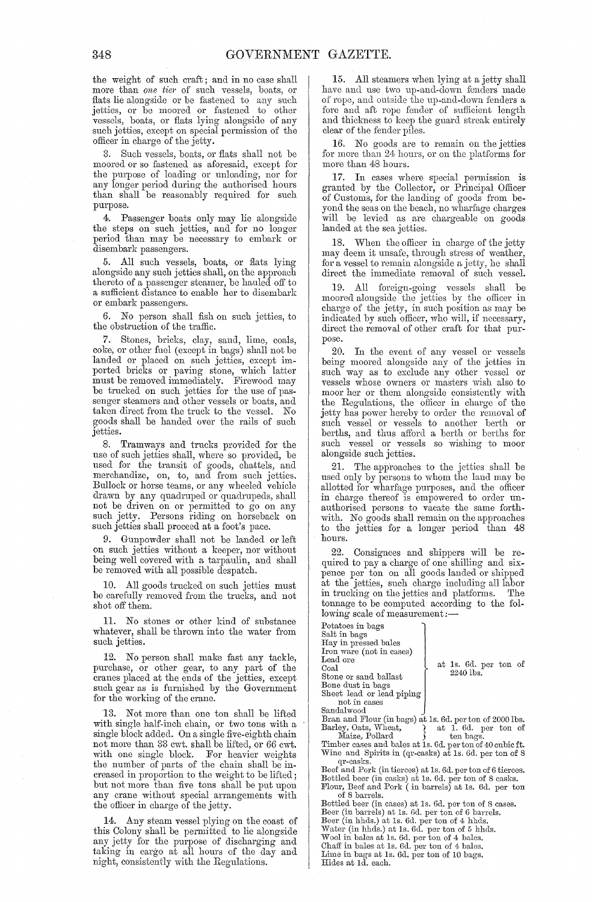the weight of such craft; and in no case shall more than *one tier* of such vessels, boats, or flats lie alongside or be fastened to any such jetties, or be moored or fastened to' other vessels, boats, or flats lying alongside of any such jetties, except on special permission of the officer in charge of the jetty.

Such vessels, boats, or flats shall not be moored or so fastened as aforesaid, except for the purpose of loading or unloading, nor for any longer period during the authorised hours than shall be reasonably required for such purpose.

4. Passenger boats only may lie alongside the steps on such jetties, and for no longer period than may be necessary to embark or disembark passengers.

5. All such vessels, boats, or flats lying alongside any such jetties shall, on the approaeh thereto of a passenger steamer, be hauled off to a sufficient distance to enable her to disembark or embark passengers.

6. No person shall fish on such jetties, to the obstruction of the traffic.

7. Stones, bricks, clay, sand, lime, coals, coke, or other fuel (except in bags) shall not be landed or placed on snch jetties, except imported bricks or paving stone, which latter must be removed immediately. Firewood may be tmcked on such jetties for the use of passenger steamers and other vessels or boats, and taken direct from the truck to the vessel. No goods shall be handed over the rails of such jetties.

8. Tramways and trucks provided for the use of such jetties shall, where so provided, be used for the transit of goods, chattels, and merchandize, on, to, and from such jetties. Bullock or horse teams, or any wheeled vehicle drawn by any quadruped or quadrupeds, shall not be driven on or permitted to go on any such jetty. Persons riding on horseback on such jetties shall proceed at a foot's pace.

Gunpowder shall not be landed or left on such jetties without a keeper, nor without being well covered with a tarpaulin, and shall be removed with all possible despatch.

10. All goods trucked on such jetties must be carefully removed from the trucks, and not shot off them.

11. No stones or other kind of substance whatever, shall be thrown into the water from such jetties.

12. No person shall make fast any tackle, purchase, or other gear, to any part of the cranes placed at the ends of the jetties, except such gear as is furnished by the Government for the working of the crane.

13. Not more than one ton shall be lifted with single half-inch chain, or two tons with a single block added. On a single five-eighth chain not more than 33 cwt. shall be lifted, or 66 cwt. with one single block. For heavier weights the number of parts of the chain shall be increased in proportion to the weight to be lifted; but not more than five tons shall be put upon any crane without special arrangements with the officer in charge of the jetty.

Any steam vessel plying on the coast of this Colony shall be permitted to lie alongside any jetty for the purpose of discharging and taking in cargo at all hours of the day and night, consistently with the Regulations.

15. All steamers when lying at a jetty shall have and use two up-and-down fenders made of rope, and outside the up-and-down fenders a fore and aft rope fender of sufficient length and thickness to keep the guard streak entirely clear of the fender piles.

16. No goods are to remain on the jetties for more than 24. hours, or on the platforms for more than 48 hours.

17. In cases where special permission is granted by the Collector, or Principal Officer of Customs, for the landing of goods from beyond the seas on the beach, no wharfage eharges will be levied as are chargeable on goods landed at the sea jetties.

18. When the officer in charge of the jetty may deem it unsafe, through stress of weather, for a vessel to remain alongside a jetty, he shall direct the immediate removal of such vessel.

All foreign-going vessels shall be moored alongside the jetties by the officer in charge of the jetty, in such position as may be indicated by such officer, who will, if necessary, direct the removal of other craft for that purpose.

20. In the event of any vessel or vessels being moored alongside any of the jetties in such way as to exclude any other vessel or vessels whose owners or masters wish also to moor her or them alongside consistently with the Regulations, the ofiicer in charge of the jetty has power hereby to order the removal of such vessel or vessels to another berth or berths, and thus afford a berth or berths for such vessel or vessels so wishing to moor alongside such jetties.

21. The app'roaches to the jetties shall be used only by persons to whom the land may be allotted for wharfage purposes, and the officer in charge thereof is empowered to order unauthorised persons to vacate the same forthwith. No goods shall remain on the approaches to the jetties for a longer period than 48 hours.

Consignees and shippers will be required to pay a charge of one shilling and sixpence per ton on all goods landed or shipped at the jetties, such charge including all labor in trucking on the jetties and platforms. The tonnage to be computed according to the following scale of measurement;-

Potatoes in bags Salt in bags Hay in pressed bales Iron ware (not in cases) Lead ore Coal Stone or sand hallast Bone dust in bags Sheet lead or lead piping not in cases Sandalwood

at Is. Gd. per ton of 2240 lbs.

Bran and Flour (in bags) at 1s. 6d. per ton of 2000 lbs.<br>Barley, Oats, Wheat,  $\begin{array}{c} \right\}$  at 1. 6d. per ton of Maize, Pollard  $\end{array}$  ten bags. Barley, Oats, Wheat,  $\left\{\n\begin{array}{c}\n\lambda \\
\lambda\n\end{array}\n\right\}$  at 1. 6d. per ton of Maize, Pollard  $\left\{\n\begin{array}{c}\n\lambda\n\end{array}\n\right\}$ 

Timber cases and hales at Is. Gd. per ton of 40 cubic ft. Wine and Spirits in (qr-casks) at Is. Gd. per ton of 8 qr-casks.

Beef and Pork (in tierces) at 1s. 6d. per ton of 6 tierces.<br>Bottled beer (in casks) at 1s. 6d. per ton of 8 casks.<br>Flour, Beef and Pork ( in barrels) at 1s. 6d. per ton<br>of 8 barrels.

Bottled beer (in cases) at 1s. 6d. per ton of 8 cases. Beer (in barrels) at 1s. 6d. per ton of 6 barrels.<br>Beer (in hhds.) at 1s. 6d. per ton of 4 hhds.<br>Water (in hhds.) at 1s. 6d. per ton of 5 hhds.<br>Wool in bales at 1s. 6d. per ton of 4 bales.<br>Chaff in bales at 1s. 6d. per to Lime in bags at Is. Gd. per ton of 10 hags. Hides at Id. each.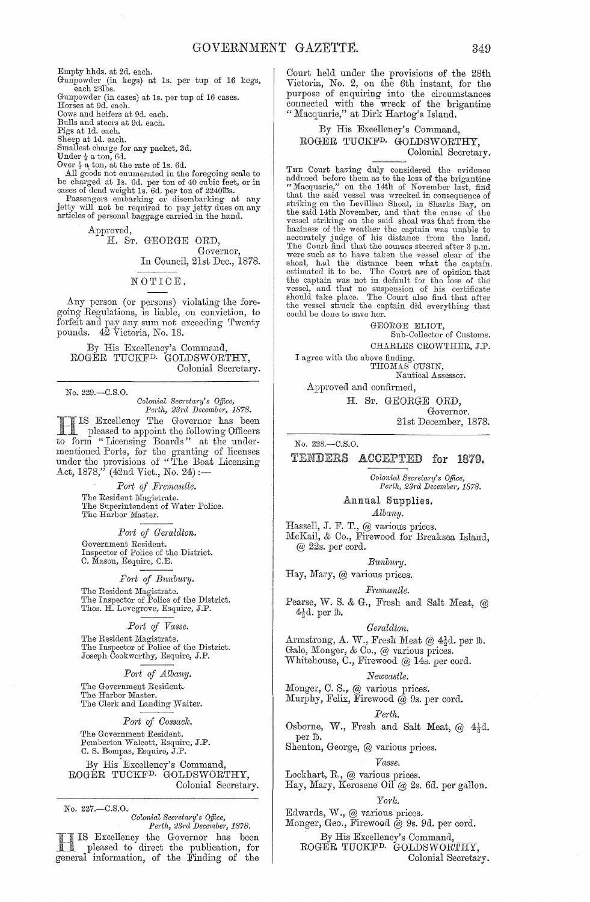Empty hhds. at 2d. each.

Gunpowder (in kegs) at Is. per tup of 16 kegs, each 281bs.

Gunpowder (in cases) at Is. per tup of 16 cases. Horses at 9d. each.

Cows and heifers at 9d. each.

Bulls and steers at 9d. each. Pigs at Id. each.

Sheep at Id. each.

Smallest charge for any packet, 3d.

Under  $\frac{1}{2}$  a ton, 6d.

Over  $\frac{1}{2}$  a ton, at the rate of 1s. 6d.

All goods not enumerated in the foregoing scale to be charged at 1s. 6d. per ton of 40 cubic feet, or in cases of dead weight 1s. 6d. per ton of 2240lbs.<br>Passengers embarking or disembarking at any jetty will not be required to pay jetty dues on any

articles of personal baggage carried in the hand.

Approved,

# H. ST. GEORGE ORD,

Governor, In Council, 21st Dec., 1878.

#### NOTICE.

Any person (or persons) violating the foregoing Regulations, is liable, on conviction, to forfeit and pay any sum not exceeding Twenty pounds. 42 Victoria, No. 18.

By His Excellency's Commancl, ROGER TUCKF<sup>D.</sup> GOLDSWORTHY, Colonial Secretary.

No. 229.-C.S.0.

*Oolonictl Secretary's Office,*  Pe1't7~, 23j'u *December, 1878.* 

HIS Excellency The Governor has been pleased to appoint the following Officers to form "Licensing Boards" at the undermentioned Ports, for the granting of licenses under the provisions of "The Boat Licensing Act,  $1878, '$ <sup>r</sup> (42nd Vict., No. 24) :-

> *P01't of Premantle.*  The Resident Magistrate.<br>The Superintendent of Water Police. The Harbor Master.

# Port of Geraldton.

Government Resident. Inspector of Police of the District. C. Mason, Esquire, C.E.

*Fort of B1.nb1wy.* 

The Resident Magistrate.<br>The Inspector of Police of the District. Thos. H. Lovegrove, Esquire, J.P.

*Port of Vasse.* 

The Resident Magistrate. 'I'he Inspector of Police of the District. Joseph Cookworthy, Esquire, J.P.

#### *Port of Albany.*

The Government Resident. The Harbor Master.

The Clerk and Landing Waiter.

#### *Port of Oossack.*

The Government Resident. Pemberton Walcott, Esquire, J.P. C. S. Bompas, Esquire, J.P.

By His Excellency's Command, ROGER TUCKFD. GOLDSWORTHY, Colonial Seeretary.

No. 227 .- C.S.O.

*Colonial Sec;·eta;·y.'* s *QtJice, Perth, :23rcl December, 1878.* 

IS Excellency the Governor has been pleased to direct the publication, for general information, of the Finding of the Court held under the provisions of the 28th Victoria, No. 2, on the 6th instant, for the purpose of enquiring into the circumstances connected with the wreck of the brigantine " Macquarie," at Dirk Hartog's Island.

#### By His Excellency's Command, ROGER TUCKFD. GOLDSWORTHY, Colonial Secretary.

THE Court having duly considered the evidence adduced before them as to the loss of the brigantine "Macquarie," on the 14th of November last, find<br>that the said vessel was wrecked in consequence of<br>striking on the Levillian Shoal, in Sharks Bay, on<br>the said 14th November, and that the cause of the<br>vessel striking on th

> GEORGE ELIOT, Sub-Collector of Customs. CHARLES CROWTIIER, J.P.

I agree with the above finding. THOMAS CUSIN,

Nautical Assessor.

Approved and confirmed,

H. ST. GEORGE ORD, Governor.

21st December, 1878.

No. 228.-C.S.0.

TENDERS ACCEPTED for 1879.

## *Oolonial Sec'reta;'Y's QtJice,*  Perth, 23rd December, 1878.

Annual Supplies. *Albany.* 

Hassell, J. F. T., @ various prices.

McKail, & Co., Firewood for Breaksea Island,  $@$  22s. per cord.

*Bunbury.* 

Hay, Mary, @ various prices.

#### *F1·ernantle.*

Pearse, W. S. & G., Fresh and Salt Meat, @  $4\frac{1}{2}d.$  per  $1b.$ 

#### *(Je?·uldton.*

Armstrong, A. W., Fresh Meat @  $4\frac{1}{2}d$ . per  $\mathbbm{b}$ . Gale, Monger, & Co., @ various prices. vVhitehouse, C., Firewood @ 14s. per cord.

*Newcastle.* 

Monger, C. S., @ various prices.

Murphy, Felix, Firewood  $@$  9s. per cord.

#### *Perth.*

Osborne, W., Fresh and Salt Meat,  $@ 4\frac{1}{2}d$ . per ID.

Shenton, George, @ various prices.

#### *Vasse.*

Lockhart, R., @ various prices. Hay, Mary, Kerosene Oil @ 2s. 6d. per gallon.

#### *Yodc.*

Edwards, W., @ various prices. Monger, Geo., Firewood  $\bar{\omega}$  9s. 9d. per cord.

By His Excellency's Command,

ROGER TUCKFD. GOLDSWORTHY, Colonial Secretary.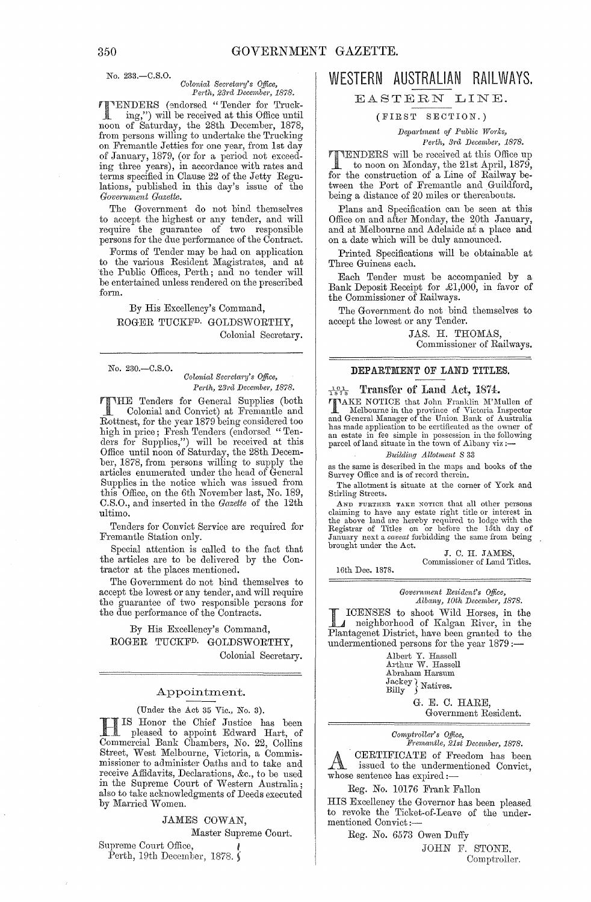## No. 233.-C.S.O.

*Colonictl Secreta;'Y's Office, Pel·th, 23rcl Decembm', 1878.* 

'l'ENDERS (~mdorsed "Tender for Trucking,") will be received at this Office until noon of Saturday, the 28th December, 1878, from persons willing to undertake the Trucking on Fremantle Jetties for one year, from 1st day of January, 1879, (or for a period not exceeding three years), in accordance with rates and terms specified in Clause 22 of the Jetty Regulations, published in this day's issue of the  $Government$ *Gazette.* 

The Government do not bind themselves to accept the highest or any tender, and will Tequire the guarantee of two responsible persons for the due performance of the Contract.

Forms of Tender may be had on application to the various Resident Magistrates, and at the Public Offices, Perth; and no tender will be entertained unless rendered on the prescribed form.

By His Excellency's Command, ROGER TUCKFD. GOLDSWORTHY, Colonial Secretary.

No. 230.-C.S.0.

 $Colonial$  Secretary's Office,  $Perth$ , 23rd *December*, 1878.

THE Tenders for General Supplies (both Colonial and Convict) at Fremantle and Rottnest, for the year 1879 being considered too high in price; Fresh Tenders (endorsed "Tenders for Supplies,") will be received at this Office until noon of Saturday, the 28th December, 1878, from persons willing to supply the articles enumerated under the head of General Supplies in the notice which was issued from this Office, on the 6th November last, No. 189, C.S.O., and inserted in the *Gazette* of the 12th ultimo.

Tenders for Convict Service are required for Fremantle Station only.

Special attention is called to the fact that the articles are to be delivered by the Contractor at the places mentioned.

The Government do not bind themselves to accept the lowest or any tender, and will require the guarantee of two responsible persons for the due performance of the Contracts.

By His Excellency's Command, ROGER TUCKFD. GOLDSWORTHY, Colonial Secretary.

#### Appointment.

(Under the Act 35 Vic., No. 3).

H IS Honor the Chief Justice has been pleased to appoint Edward Hart, of Commercial Bank Chambers, No. 22, Collins Street, West Melbourne, Victoria, a Commismissioner to administer Oaths and to take and receive Affidavits, Declarations, &c., to be used in the Supreme Court of Western Australia; also to take acknowledgments of Deeds executed by Married Women.

JAMES COWAN,

Master Supreme Court.

Supreme Court Office, Perth, 19th December, 1878.

# WESTERN AUSTRALIAN RAILWAYS.

## EASTERN LINE.

( FIRST SECTION.)

*Depa;·tment of Public WO;'ks, 1'e;,th, 3rd Decembe)', 1878.* 

TUENDERS will be received at this Office up<br>to noon on Monday, the 21st April, 1879,<br>for the construction of a Line of Beilway befor the construction of a Line of Railway between the Port of Fremantle and Guildford, being a distance of 20 miles or thereabouts.

Plans and Specification can be seen at this Office on and after Monday, the 20th January, and at Melbourne and Adelaide at a place and on a date which will be duly announced.

Printed Specifications will be obtainable at Three Guineas each.

Each Tender must be accompanied by a Bank Deposit Receipt for £1,000, in favor of the Commissioner of Railways.

The Government do not bind themselves to accept the lowest or any Tender.

> JAS. H. THOMAS, Commissioner of Railways.

#### DEPARTMENT OF LAND TITLES.

#### $\frac{101}{1878}$  Transfer of Land Act, 1874.

TAKE NOTICE that John Franklin M'Mullen of Melbourne in the province of Victoria Inspector and General lYlanager of the Union Bank of Australia has made application to be certificated as the owner of an estate in fee simple in possession in the following parcel of land situate in the town of Albany viz :—

#### *Buildin,q Allotment S 33*

as the same is described in the maps and books of the Survey Office and is of record therein.

The allotment is situate at the corner of York and Stirling Streets.

AND FURTHER TAKE NOTICE that all other persons claiming to have any estate right title or interest in the above land are hereby required to lodge with the Registrar of Titles on or before the 15th day of January next a *caveat* forbidding the same from being brought under the Act.

J. C. H. JAMES, Commissioner of Land Titles.

16th Dee. 1878.

 $Government$  Resident's Office, *Albany, 10th December, 1878.* 

IL ICENSES to shoot Wild Horses, in the neighborhood of Kalgan River, in the neighborhood of Kalgan River, in the Plantagenet District, have been granted to the undermentioned persons for the year  $1879$  :-

> Albert Y. Hassell Arthur W. Hassell Abraham Harsum  $\frac{\text{Jackey}}{\text{Billy}}$  Natives.

> > G. E. C. HARE, Government Resident.

*Comptroller's Qffice,*   $Fremantle, 21st December, 1878.$ 

CERTIFICATE of Freedom has been issued to the undermentioned Convict, whose sentence has expired:-

Reg. No. 10176 Frank Fallon

HIS Excellency the Governor has been pleased to revoke the Ticket-of-Leave of the undermentioned Convict:-

Rag. *No.* 6573 Owen Duffy

JOHN F. STONE, Comptrollor.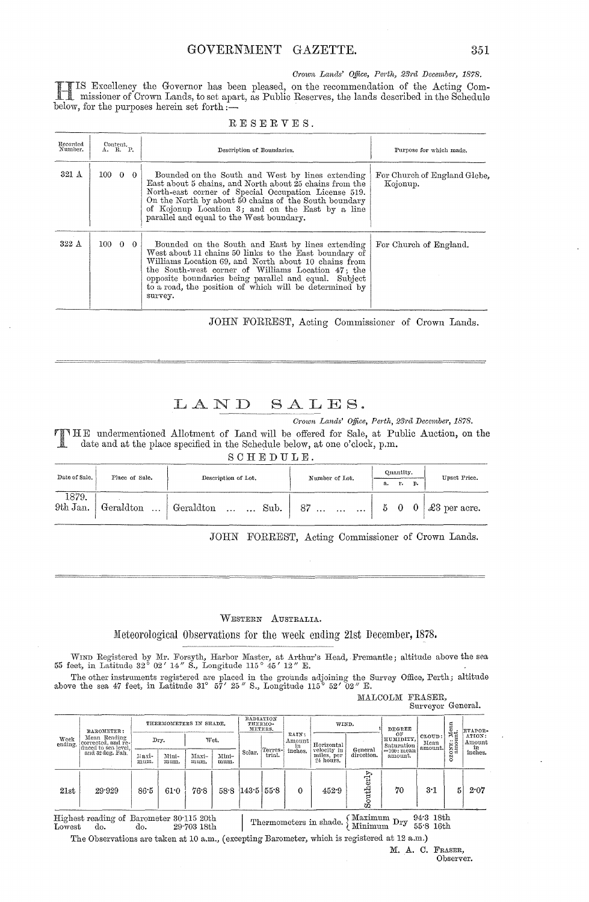*Crown Lands' Office, Perth, 23rd December, 1878.* 

IS Excellency the Governor has been pleased, on the recommendation of the Acting Com-<br>missioner of Crown Lands, to set apart, as Public Reserves, the lands described in the Schedule I missioner of Crown Lands, to set apart, as Public Reserves, the lands described in the Schedule below, for the purposes herein set forth:-

RESERVES.

| Recorded<br>Number. | $\overset{\text{Content.}}{\Lambda}$ . R. P. | Description of Boundaries.                                                                                                                                                                                                                                                                                                                            | Purpose for which made.                  |
|---------------------|----------------------------------------------|-------------------------------------------------------------------------------------------------------------------------------------------------------------------------------------------------------------------------------------------------------------------------------------------------------------------------------------------------------|------------------------------------------|
| 321 A               | $100 \t 0 \t 0$                              | Bounded on the South and West by lines extending<br>East about 5 chains, and North about 25 chains from the<br>North-east corner of Special Occupation License 519.<br>On the North by about 50 chains of the South boundary<br>of Kojonup Location 3; and on the East by a line<br>parallel and equal to the West boundary.                          | For Church of England Glebe,<br>Kojonup. |
| 322 A               | $100 \t 0 \t 0$                              | Bounded on the South and East by lines extending<br>West about 11 chains 50 links to the East boundary of<br>Williams Location 69, and North about 10 chains from<br>the South-west corner of Williams Location 47; the<br>opposite boundaries being parallel and equal. Subject<br>to a road, the position of which will be determined by<br>survey. | For Church of England.                   |

JOHN FORREST, Acting Commissioner of Crown Lands.

# LAND SALES.

*Crown Lands' Office, Perth, 281d December, 1878.*<br>THE undermentioned Allotment of Land will be offered for Sale, at Public Auction, on the date and at the place specified in the Schedule below, at one o'clock, p.m.

| SCHEDULE.         |                |                                                                        |                |                             |  |  |                      |  |  |  |  |
|-------------------|----------------|------------------------------------------------------------------------|----------------|-----------------------------|--|--|----------------------|--|--|--|--|
| Date of Sale.     | Place of Sale. | Description of Lot.                                                    | Number of Lot. | Quantity.<br>p.<br>r.<br>а. |  |  | Upset Price.         |  |  |  |  |
| 1879.<br>9th Jan. |                | $\mid$ Geraldton $\mid$ Geraldton   Sub. $\mid$ 87 $\mid$ 5 0 0 $\mid$ |                |                             |  |  | $\vert$ £3 per acre. |  |  |  |  |

JOHN FORREST, Acting Commissioner of Crown Lands.

#### WESTERN AUSTRALIA.

Meteorological Observations for the week ending 21st December, 1878.

WIND Registered by Mr. Forsyth, Harbor Master, at Arthur's Head, Fremantle; altitude above the sea feet, in Latitude 32° 02' 14" S., Longitude 115° 45' 12" E.

The other instruments registered are placed in the grounds adjoining the Survey Office, Perth; altitude above the sea 47 feet, in Latitude 31° 57' 25" S., Longitude 115° 52' 02" E. MALCOLM FRASER,

| COTAM LAMORIA     |  |
|-------------------|--|
| Surveyor General. |  |

| Week<br>ending. | <b>BAROMETER:</b>                                                             | THERMOMETERS IN SHADE. |               |               | RADIATION<br>THERMO-<br>METERS. |                       | RAIN:   | WIND.                   |                           | DEGREE<br>OF       |                                          |                           | EVAPOR-     |                                   |
|-----------------|-------------------------------------------------------------------------------|------------------------|---------------|---------------|---------------------------------|-----------------------|---------|-------------------------|---------------------------|--------------------|------------------------------------------|---------------------------|-------------|-----------------------------------|
|                 | Mean Reading<br>corrected, and re-<br>duced to sea level,<br>and 32 deg, Fah. |                        | Dry.          |               | Wet.                            | Solar.                | Terres- | Amount<br>in<br>inches. | Horizontal<br>velocity in | General            | HUMIDITY,<br>Saturation<br>$=100$ : mean | CLOUD:<br>Mean<br>amount. | ozoxe: Mean | ATION:<br>Amount<br>in<br>inches. |
|                 |                                                                               | Maxi-<br>mum.          | Mini-<br>mum. | Maxi-<br>mum. | Mini-<br>mum.                   |                       | trial.  |                         | miles, per<br>24 hours.   | direction.         | amount.                                  |                           |             |                                   |
| 21st            | 29.929                                                                        | 86.5                   | 61.0          | 76.8          |                                 | $58.8$ [143.5   55.8] |         | $\mathbf 0$             | 452.9                     | $\text{Southerly}$ | 70                                       | 3.1                       | 5           | 2.07                              |

 $\begin{tabular}{ll} Highest reading of Barometer & 30:115 & 20th \\ Lowest & do. & 29:703 & 18th \end{tabular}$ Highest reading of Barometer 30.115 20th I . I . I . I . W . I . I . I . Highest reading of Barometer 30.115 20th I . Thermometers in shade.  $\left\{\begin{array}{l}\text{Maximum Dry } 94.3 \text{ 18th} \\ \text{Minimum Dry } 55.8 \text{ 16th} \end{array}\right.$ 

The Observations are taken at 10 a.m., (excepting Barometer, which is registered at 12 a.m.)

M. A. C. FRAsER, Observer.